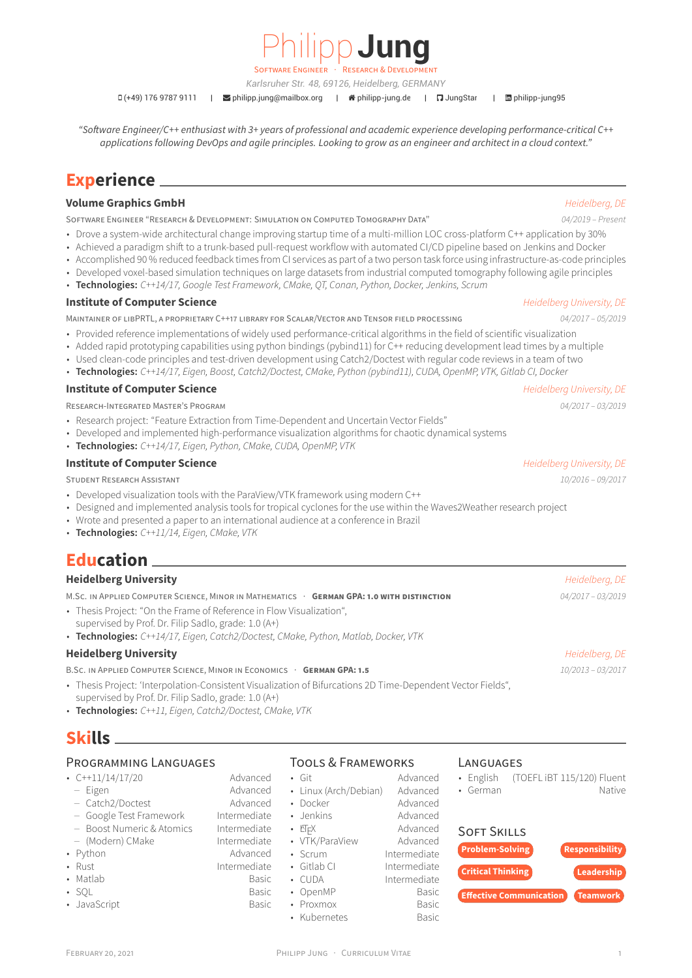

E ENGINEER

*Karlsruher Str. 48, 69126, Heidelberg, GERMANY*

 $\Box$  (+49) 176 9787 9111 |  $\Box$  [philipp.jung@mailbox.org](mailto:philipp.jung@mailbox.org) |  $\angle$  [philipp-jung.de](http://philipp-jung.de) |  $\Box$  [JungStar](https://github.com/JungStar) |  $\Box$  [philipp-jung95](https://www.linkedin.com/in/philipp-jung95)

*"Software Engineer/C++ enthusiast with 3+ years of professional and academic experience developing performance-critical C++ applications following DevOps and agile principles. Looking to grow as an engineer and architect in a cloud context."*

# **Experience**

### **Volume Graphics GmbH** *Heidelberg, DE*

SOFTWARE ENGINEER "RESEARCH & DEVELOPMENT: SIMULATION ON COMPUTED TOMOGRAPHY DATA" *04/2019 – Present*

- Drove a system-wide architectural change improving startup time of a multi-million LOC cross-platform C++ application by 30%
- Achieved a paradigm shift to a trunk-based pull-request workflow with automated CI/CD pipeline based on Jenkins and Docker
- Accomplished 90 % reduced feedback times from CI services as part of a two person task force using infrastructure-as-code principles
- Developed voxel-based simulation techniques on large datasets from industrial computed tomography following agile principles • **Technologies:** *C++14/17, Google Test Framework, CMake, QT, Conan, Python, Docker, Jenkins, Scrum*

## **Institute of Computer Science** *Heidelberg University, DE*

MAINTAINER OF LIBPRTL, A PROPRIETARY C++17 LIBRARY FOR SCALAR/VECTOR AND TENSOR FIELD PROCESSING *04/2017 – 05/2019*

- Provided reference implementations of widely used performance-critical algorithms in the field of scientific visualization
- Added rapid prototyping capabilities using python bindings (pybind11) for C++ reducing development lead times by a multiple
- Used clean-code principles and test-driven development using Catch2/Doctest with regular code reviews in a team of two
- **Technologies:** *C++14/17, Eigen, Boost, Catch2/Doctest, CMake, Python (pybind11), CUDA, OpenMP, VTK, Gitlab CI, Docker*

# **Institute of Computer Science** *Heidelberg University, DE*

RESEARCH-INTEGRATED MASTER'S PROGRAM *04/2017 – 03/2019*

- Research project: "Feature Extraction from Time-Dependent and Uncertain Vector Fields"
- Developed and implemented high-performance visualization algorithms for chaotic dynamical systems
- **Technologies:** *C++14/17, Eigen, Python, CMake, CUDA, OpenMP, VTK*

## **Institute of Computer Science** *Allegerical Computer Science Periodelberg University, DE*

STUDENT RESEARCH ASSISTANT *10/2016 – 09/2017*

- Developed visualization tools with the ParaView/VTK framework using modern C++
- Designed and implemented analysis tools for tropical cyclones for the use within the Waves2Weather research project
- Wrote and presented a paper to an international audience at a conference in Brazil
- **Technologies:** *C++11/14, Eigen, CMake, VTK*

# **Education**

## **Heidelberg University** *Heidelberg, DE*

M.SC. IN APPLIED COMPUTER SCIENCE, MINOR IN MATHEMATICS · **GERMAN GPA: 1.0 WITH DISTINCTION** *04/2017 – 03/2019*

- Thesis Project: "On the Frame of Reference in Flow Visualization",
- supervised by Prof. Dr. Filip Sadlo, grade: 1.0 (A+)
- **Technologies:** *C++14/17, Eigen, Catch2/Doctest, CMake, Python, Matlab, Docker, VTK*

# **Heidelberg University** *Heidelberg, DE*

B.SC. IN APPLIED COMPUTER SCIENCE, MINOR IN ECONOMICS · **GERMAN GPA: 1.5** *10/2013 – 03/2017*

- Thesis Project: 'Interpolation-Consistent Visualization of Bifurcations 2D Time-Dependent Vector Fields", supervised by Prof. Dr. Filip Sadlo, grade: 1.0 (A+)
- **Technologies:** *C++11, Eigen, Catch2/Doctest, CMake, VTK*

# **Skills**

# PROGRAMMING LANGUAGES

- C++11/14/17/20 Advanced
- Eigen Advanced
- Catch2/Doctest Advanced
- Google Test Framework Intermediate – Boost Numeric & Atomics Intermediate
- (Modern) CMake Intermediate
- Python Advanced
- Rust Intermediate
- Matlab Basic
- SOL Basic
- JavaScript Basic

# TOOLS & FRAMEWORKS

- Git Advanced
- Linux (Arch/Debian) Advanced • Docker Advanced
- Jenkins **Advanced**
- 
- LATEX Advanced • VTK/ParaView
- Scrum Intermediate
- Gitlab CI Intermediate
- CUDA Intermediate
- OpenMP Basic
- Proxmox Basic
	- Kubernetes Basic

## **LANGUAGES**

- English (TOEFL iBT 115/120) Fluent • German Native
	-

# SOFT SKILLS